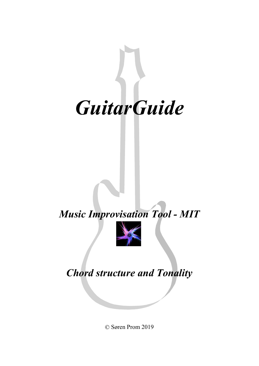

## *Music Improvisation Tool - MIT*



## *Chord structure and Tonality*

© Søren Prom 2019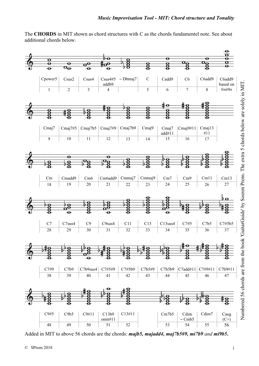The **CHORDS** in MIT shown as chord structures with C as the chords fundamentel note. See about additional chords below.



Added in MIT to above 56 chords are the chords: *majb5, majadd4, maj7b5#9, mi7b9 and mi9b5***.**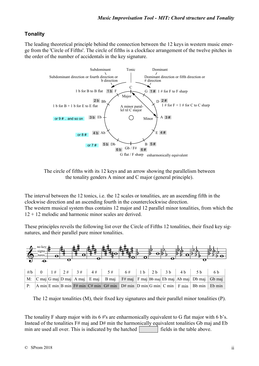## **Tonality**

The leading theoretical principle behind the connection between the 12 keys in western music emerge from the 'Circle of Fifths'. The circle of fifths is a clockface arrangement of the twelve pitches in the order of the number of accidentals in the key signature.



The circle of fifths with its 12 keys and an arrow showing the parallelism between the tonality genders A minor and C major (general principle).

The interval between the 12 tonics, i.e. the 12 scales or tonalities, are an ascending fifth in the clockwise direction and an ascending fourth in the counterclockwise direction. The western musical system thus contains 12 major and 12 parallel minor tonalities, from which the  $12 + 12$  melodic and harmonic minor scales are derived.

These principles reveils the following list over the Circle of Fifths 12 tonalities, their fixed key signatures, and their parallel pure minor tonalities.



The 12 major tonalities (M), their fixed key signatures and their parallel minor tonalities (P).

The tonality F sharp major with its  $6 \#s$  are enharmonically equivalent to G flat major with 6 b's. Instead of the tonalities  $F#$  maj and  $D#$  min the harmonically equivalent tonalities Gb maj and Eb min are used all over. This is indicated by the hatched  $\mathbb{Z}$  fields in the table above.